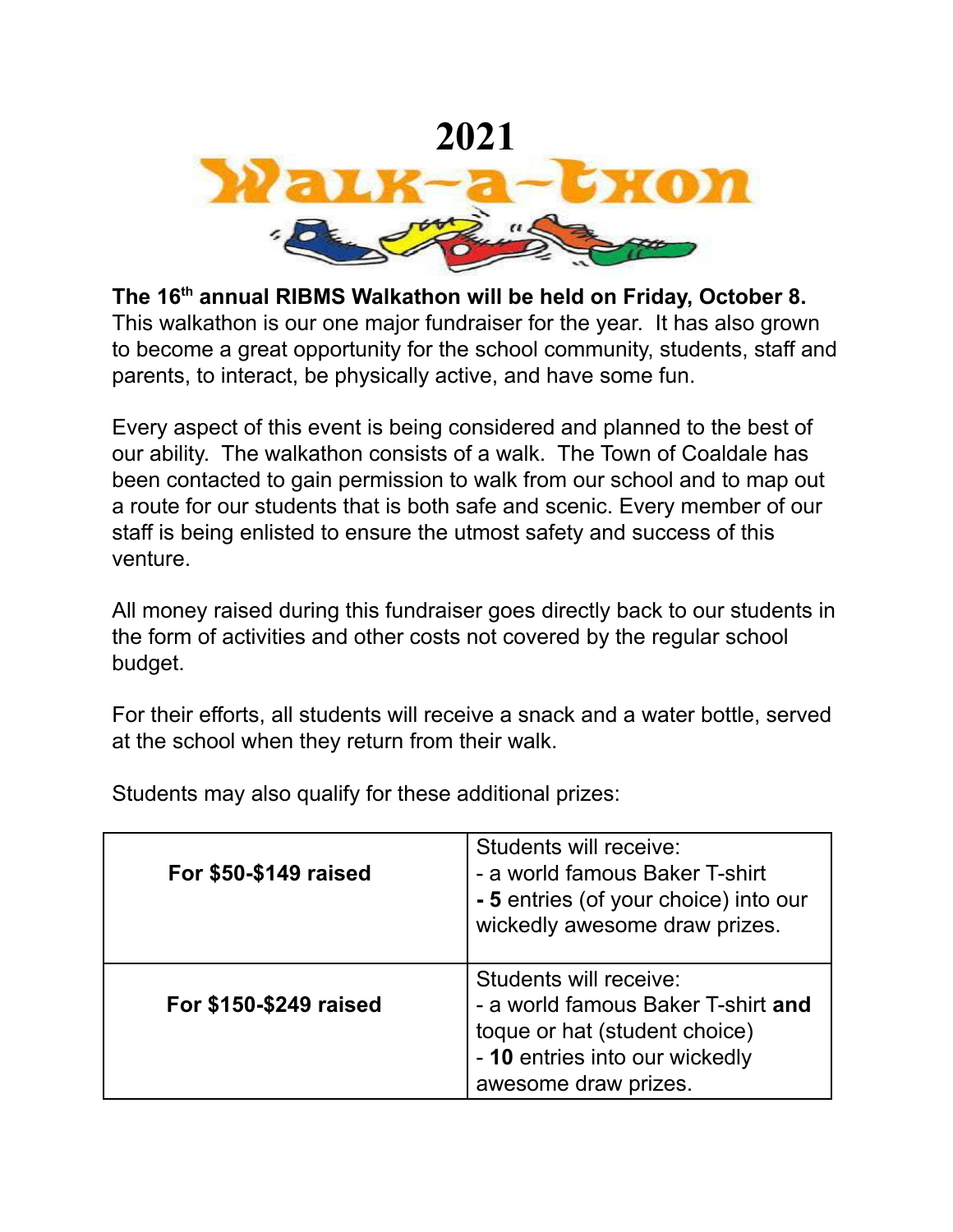

**The 16 th annual RIBMS Walkathon will be held on Friday, October 8.** This walkathon is our one major fundraiser for the year. It has also grown to become a great opportunity for the school community, students, staff and parents, to interact, be physically active, and have some fun.

Every aspect of this event is being considered and planned to the best of our ability. The walkathon consists of a walk. The Town of Coaldale has been contacted to gain permission to walk from our school and to map out a route for our students that is both safe and scenic. Every member of our staff is being enlisted to ensure the utmost safety and success of this venture.

All money raised during this fundraiser goes directly back to our students in the form of activities and other costs not covered by the regular school budget.

For their efforts, all students will receive a snack and a water bottle, served at the school when they return from their walk.

**For \$50-\$149 raised** Students will receive: - a world famous Baker T-shirt **- 5** entries (of your choice) into our wickedly awesome draw prizes. **For \$150-\$249 raised** Students will receive: - a world famous Baker T-shirt **and** toque or hat (student choice) - **10** entries into our wickedly awesome draw prizes.

Students may also qualify for these additional prizes: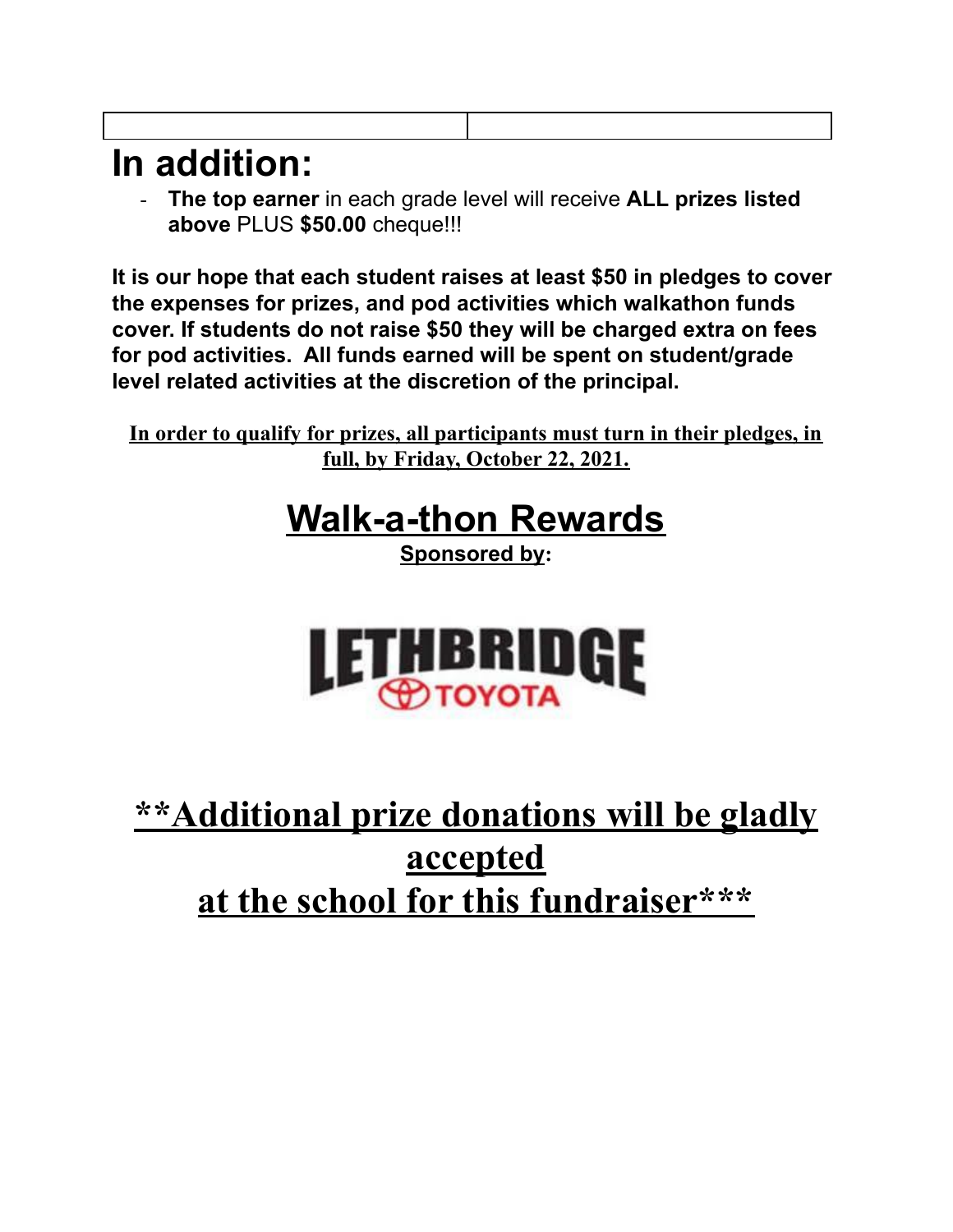## **In addition:**

- **The top earner** in each grade level will receive **ALL prizes listed above** PLUS **\$50.00** cheque!!!

**It is our hope that each student raises at least \$50 in pledges to cover the expenses for prizes, and pod activities which walkathon funds cover. If students do not raise \$50 they will be charged extra on fees for pod activities. All funds earned will be spent on student/grade level related activities at the discretion of the principal.**

**In order to qualify for prizes, all participants must turn in their pledges, in full, by Friday, October 22, 2021.**

## **Walk-a-thon Rewards**

**Sponsored by:**



## **\*\*Additional prize donations will be gladly accepted at the school for this fundraiser\*\*\***